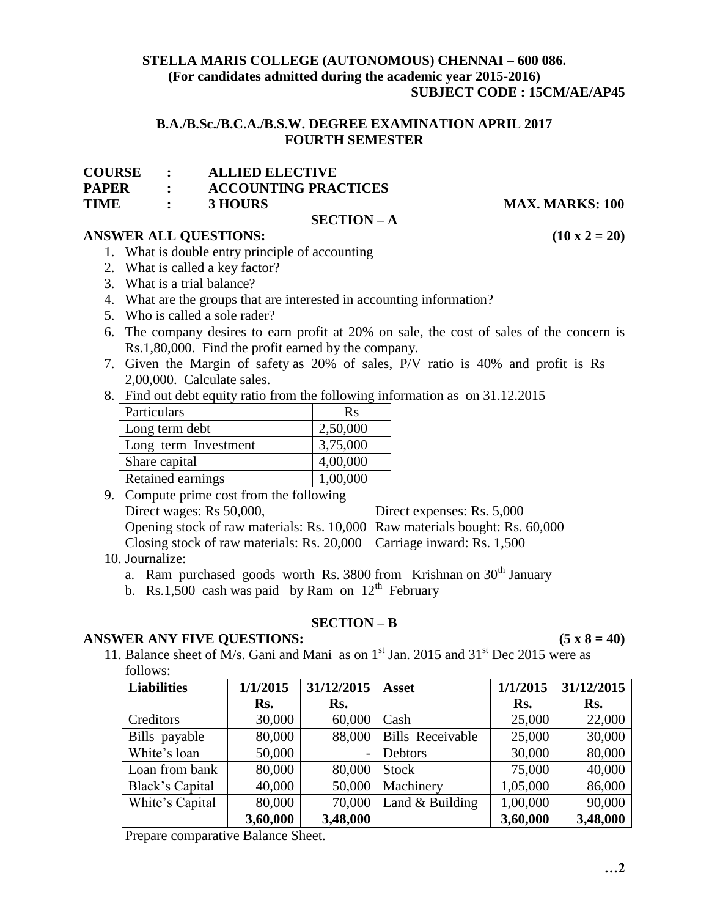## **STELLA MARIS COLLEGE (AUTONOMOUS) CHENNAI – 600 086. (For candidates admitted during the academic year 2015-2016) SUBJECT CODE : 15CM/AE/AP45**

# **B.A./B.Sc./B.C.A./B.S.W. DEGREE EXAMINATION APRIL 2017 FOURTH SEMESTER**

| <b>COURSE</b> |  | <b>ALLIED ELECTIVE</b> |
|---------------|--|------------------------|
|---------------|--|------------------------|

**PAPER : ACCOUNTING PRACTICES**

**TIME** : **3 HOURS MAX. MARKS: 100** 

## **SECTION – A**

# **ANSWER ALL QUESTIONS: (10 x 2 = 20)**

- 1. What is double entry principle of accounting
- 2. What is called a key factor?
- 3. What is a trial balance?
- 4. What are the groups that are interested in accounting information?
- 5. Who is called a sole rader?
- 6. The company desires to earn profit at 20% on sale, the cost of sales of the concern is Rs.1,80,000. Find the profit earned by the company.
- 7. Given the Margin of safety as 20% of sales, P/V ratio is 40% and profit is Rs 2,00,000. Calculate sales.
- 8. Find out debt equity ratio from the following information as on 31.12.2015

| Particulars          | <b>Rs</b> |
|----------------------|-----------|
| Long term debt       | 2,50,000  |
| Long term Investment | 3,75,000  |
| Share capital        | 4,00,000  |
| Retained earnings    | 1,00,000  |

9. Compute prime cost from the following Direct wages: Rs 50,000, Direct expenses: Rs. 5,000 Opening stock of raw materials: Rs. 10,000 Raw materials bought: Rs. 60,000 Closing stock of raw materials: Rs. 20,000 Carriage inward: Rs. 1,500

- 10. Journalize:
	- a. Ram purchased goods worth Rs. 3800 from Krishnan on  $30<sup>th</sup>$  January
	- b. Rs.1,500 cash was paid by Ram on  $12<sup>th</sup>$  February

#### **SECTION – B**

# **ANSWER ANY FIVE QUESTIONS: (5 x 8 = 40)**

11. Balance sheet of M/s. Gani and Mani as on  $1<sup>st</sup>$  Jan. 2015 and 31<sup>st</sup> Dec 2015 were as follows:

| <b>Liabilities</b> | 1/1/2015 | 31/12/2015 | <b>Asset</b>            | 1/1/2015 | 31/12/2015 |
|--------------------|----------|------------|-------------------------|----------|------------|
|                    | Rs.      | Rs.        |                         | Rs.      | Rs.        |
| Creditors          | 30,000   | 60,000     | Cash                    | 25,000   | 22,000     |
| Bills payable      | 80,000   | 88,000     | <b>Bills Receivable</b> | 25,000   | 30,000     |
| White's loan       | 50,000   |            | Debtors                 | 30,000   | 80,000     |
| Loan from bank     | 80,000   | 80,000     | <b>Stock</b>            | 75,000   | 40,000     |
| Black's Capital    | 40,000   | 50,000     | Machinery               | 1,05,000 | 86,000     |
| White's Capital    | 80,000   | 70,000     | Land $&$ Building       | 1,00,000 | 90,000     |
|                    | 3,60,000 | 3,48,000   |                         | 3,60,000 | 3,48,000   |

Prepare comparative Balance Sheet.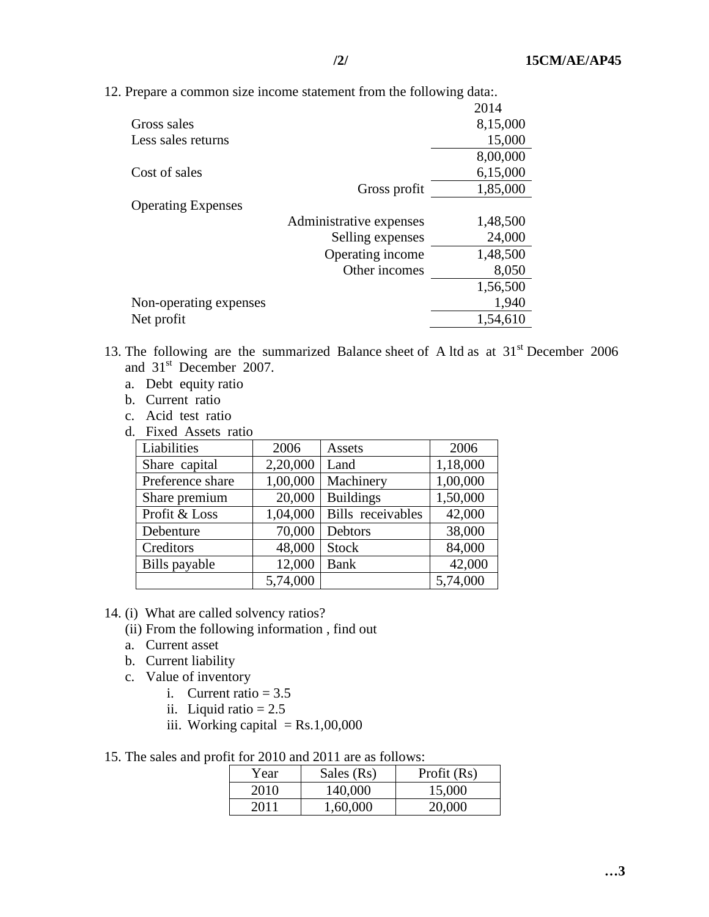12. Prepare a common size income statement from the following data:.

|                           |                         | 2014     |
|---------------------------|-------------------------|----------|
| Gross sales               |                         | 8,15,000 |
| Less sales returns        |                         | 15,000   |
|                           |                         | 8,00,000 |
| Cost of sales             |                         | 6,15,000 |
|                           | Gross profit            | 1,85,000 |
| <b>Operating Expenses</b> |                         |          |
|                           | Administrative expenses | 1,48,500 |
|                           | Selling expenses        | 24,000   |
|                           | Operating income        | 1,48,500 |
|                           | Other incomes           | 8,050    |
|                           |                         | 1,56,500 |
| Non-operating expenses    |                         | 1,940    |
| Net profit                |                         | 1,54,610 |

- 13. The following are the summarized Balance sheet of A ltd as at  $31<sup>st</sup>$  December 2006 and 31<sup>st</sup> December 2007.
	- a. Debt equity ratio
	- b. Current ratio
	- c. Acid test ratio
	- d. Fixed Assets ratio

| Liabilities      | 2006     | Assets            | 2006     |
|------------------|----------|-------------------|----------|
| Share capital    | 2,20,000 | Land              | 1,18,000 |
| Preference share | 1,00,000 | Machinery         | 1,00,000 |
| Share premium    | 20,000   | <b>Buildings</b>  | 1,50,000 |
| Profit & Loss    | 1,04,000 | Bills receivables | 42,000   |
| Debenture        | 70,000   | Debtors           | 38,000   |
| Creditors        | 48,000   | <b>Stock</b>      | 84,000   |
| Bills payable    | 12,000   | <b>Bank</b>       | 42,000   |
|                  | 5,74,000 |                   | 5,74,000 |

- 14. (i) What are called solvency ratios?
	- (ii) From the following information , find out
	- a. Current asset
	- b. Current liability
	- c. Value of inventory
		- i. Current ratio  $= 3.5$
		- ii. Liquid ratio  $= 2.5$
		- iii. Working capital  $=$  Rs.1,00,000
- 15. The sales and profit for 2010 and 2011 are as follows:

| Year | Sales (Rs) | Profit $(Rs)$ |
|------|------------|---------------|
| 2010 | 140,000    | 15,000        |
| 2011 | 1,60,000   | 20,000        |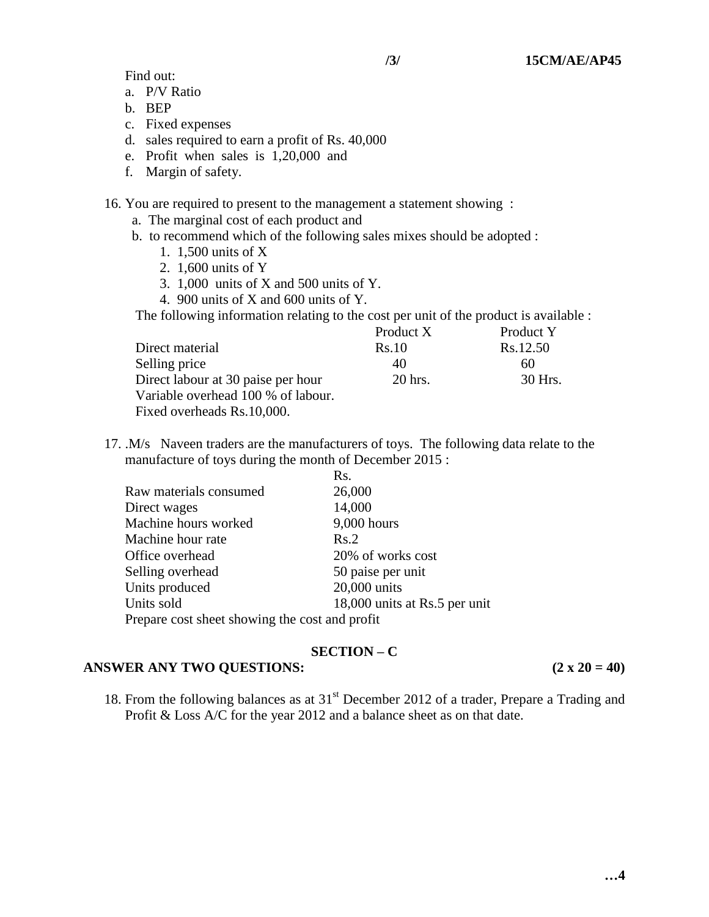Find out:

- a. P/V Ratio
- b. BEP
- c. Fixed expenses
- d. sales required to earn a profit of Rs. 40,000
- e. Profit when sales is 1,20,000 and
- f. Margin of safety.
- 16. You are required to present to the management a statement showing :
	- a. The marginal cost of each product and
	- b. to recommend which of the following sales mixes should be adopted :
		- 1. 1,500 units of X
		- 2. 1,600 units of Y
		- 3. 1,000 units of X and 500 units of Y.
		- 4. 900 units of X and 600 units of Y.

The following information relating to the cost per unit of the product is available :

|                                    | Product X | Product Y |
|------------------------------------|-----------|-----------|
| Direct material                    | Rs.10     | Rs.12.50  |
| Selling price                      | 40        | 60        |
| Direct labour at 30 paise per hour | 20 hrs.   | 30 Hrs.   |
| Variable overhead 100 % of labour. |           |           |
| Fixed overheads Rs.10,000.         |           |           |

17. .M/s Naveen traders are the manufacturers of toys. The following data relate to the manufacture of toys during the month of December 2015 :

|                                                | Rs.                           |
|------------------------------------------------|-------------------------------|
| Raw materials consumed                         | 26,000                        |
| Direct wages                                   | 14,000                        |
| Machine hours worked                           | $9,000$ hours                 |
| Machine hour rate                              | Rs.2                          |
| Office overhead                                | 20% of works cost             |
| Selling overhead                               | 50 paise per unit             |
| Units produced                                 | 20,000 units                  |
| Units sold                                     | 18,000 units at Rs.5 per unit |
| Prepare cost sheet showing the cost and profit |                               |

# **SECTION – C**

# **ANSWER ANY TWO QUESTIONS:** (2 **x** 20 = 40)

18. From the following balances as at 31<sup>st</sup> December 2012 of a trader, Prepare a Trading and Profit & Loss A/C for the year 2012 and a balance sheet as on that date.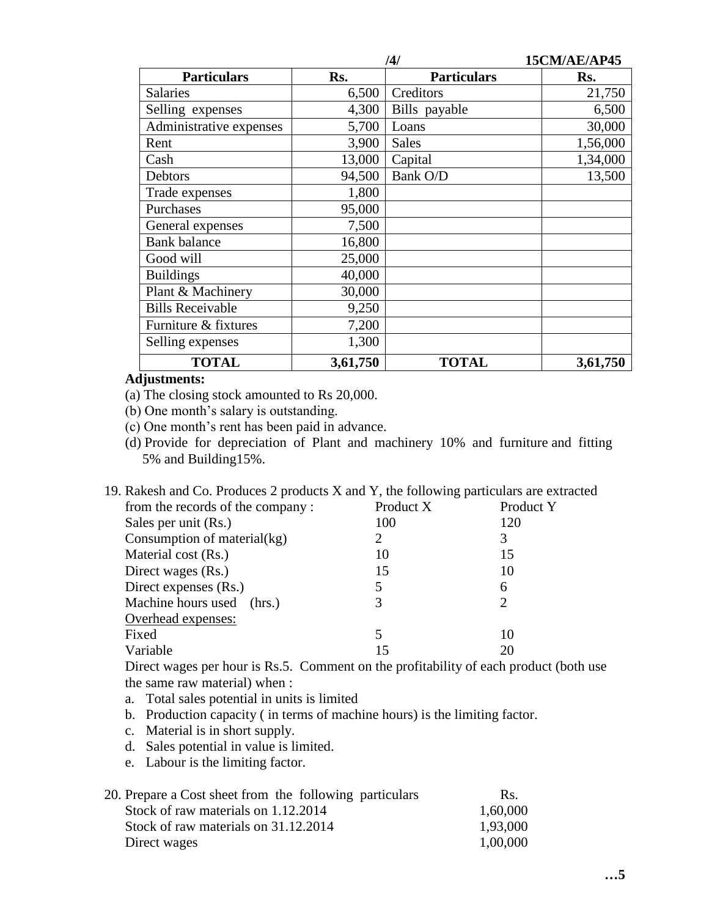|                         | /4/      |                    | 15CM/AE/AP45 |
|-------------------------|----------|--------------------|--------------|
| <b>Particulars</b>      | Rs.      | <b>Particulars</b> | Rs.          |
| <b>Salaries</b>         | 6,500    | Creditors          | 21,750       |
| Selling expenses        | 4,300    | Bills payable      | 6,500        |
| Administrative expenses | 5,700    | Loans              | 30,000       |
| Rent                    | 3,900    | <b>Sales</b>       | 1,56,000     |
| Cash                    | 13,000   | Capital            | 1,34,000     |
| Debtors                 | 94,500   | Bank O/D           | 13,500       |
| Trade expenses          | 1,800    |                    |              |
| Purchases               | 95,000   |                    |              |
| General expenses        | 7,500    |                    |              |
| <b>Bank</b> balance     | 16,800   |                    |              |
| Good will               | 25,000   |                    |              |
| <b>Buildings</b>        | 40,000   |                    |              |
| Plant & Machinery       | 30,000   |                    |              |
| <b>Bills Receivable</b> | 9,250    |                    |              |
| Furniture & fixtures    | 7,200    |                    |              |
| Selling expenses        | 1,300    |                    |              |
| <b>TOTAL</b>            | 3,61,750 | <b>TOTAL</b>       | 3,61,750     |

# **Adjustments:**

(a) The closing stock amounted to Rs 20,000.

(b) One month's salary is outstanding.

(c) One month's rent has been paid in advance.

(d) Provide for depreciation of Plant and machinery 10% and furniture and fitting 5% and Building15%.

| 19. Rakesh and Co. Produces 2 products X and Y, the following particulars are extracted |           |           |
|-----------------------------------------------------------------------------------------|-----------|-----------|
| from the records of the company:                                                        | Product X | Product Y |
| Sales per unit (Rs.)                                                                    | 100       | 120       |
| Consumption of material(kg)                                                             |           | 3         |
| Material cost (Rs.)                                                                     | 10        | 15        |
| Direct wages (Rs.)                                                                      | 15        | 10        |
| Direct expenses (Rs.)                                                                   |           | 6         |
| Machine hours used (hrs.)                                                               |           |           |
| Overhead expenses:                                                                      |           |           |
| Fixed                                                                                   |           | 10        |
| Variable                                                                                | 15        | 20        |

Direct wages per hour is Rs.5. Comment on the profitability of each product (both use the same raw material) when :

- a. Total sales potential in units is limited
- b. Production capacity ( in terms of machine hours) is the limiting factor.
- c. Material is in short supply.
- d. Sales potential in value is limited.
- e. Labour is the limiting factor.

| 20. Prepare a Cost sheet from the following particulars | Rs.      |
|---------------------------------------------------------|----------|
| Stock of raw materials on 1.12.2014                     | 1,60,000 |
| Stock of raw materials on 31.12.2014                    | 1,93,000 |
| Direct wages                                            | 1,00,000 |